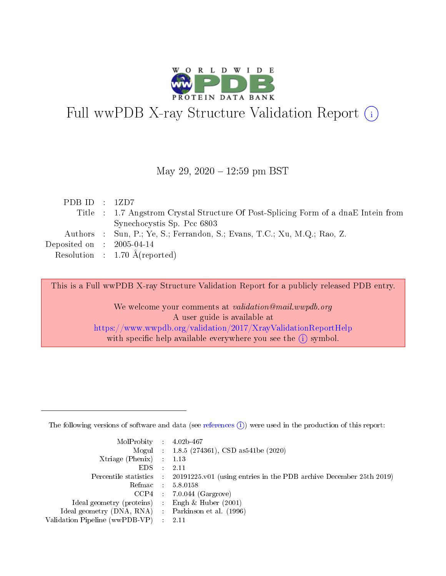

# Full wwPDB X-ray Structure Validation Report (i)

#### May 29, 2020 - 12:59 pm BST

| PDB ID : $1ZD7$                      |                                                                                    |
|--------------------------------------|------------------------------------------------------------------------------------|
|                                      | Title : 1.7 Angstrom Crystal Structure Of Post-Splicing Form of a dnaE Intein from |
|                                      | Synechocystis Sp. Pcc 6803                                                         |
|                                      | Authors : Sun, P.; Ye, S.; Ferrandon, S.; Evans, T.C.; Xu, M.Q.; Rao, Z.           |
| Deposited on $\therefore$ 2005-04-14 |                                                                                    |
|                                      | Resolution : $1.70 \text{ Å}$ (reported)                                           |

This is a Full wwPDB X-ray Structure Validation Report for a publicly released PDB entry.

We welcome your comments at validation@mail.wwpdb.org A user guide is available at <https://www.wwpdb.org/validation/2017/XrayValidationReportHelp> with specific help available everywhere you see the  $(i)$  symbol.

The following versions of software and data (see [references](https://www.wwpdb.org/validation/2017/XrayValidationReportHelp#references)  $(1)$ ) were used in the production of this report:

| $MolProbability$ : 4.02b-467                        |                                                                                            |
|-----------------------------------------------------|--------------------------------------------------------------------------------------------|
|                                                     | Mogul : 1.8.5 (274361), CSD as 541be (2020)                                                |
| Xtriage (Phenix) $: 1.13$                           |                                                                                            |
| EDS :                                               | -2.11                                                                                      |
|                                                     | Percentile statistics : 20191225.v01 (using entries in the PDB archive December 25th 2019) |
| Refmac 58.0158                                      |                                                                                            |
|                                                     | $CCP4$ 7.0.044 (Gargrove)                                                                  |
| Ideal geometry (proteins) : Engh $\&$ Huber (2001)  |                                                                                            |
| Ideal geometry (DNA, RNA) : Parkinson et al. (1996) |                                                                                            |
| Validation Pipeline (wwPDB-VP) : 2.11               |                                                                                            |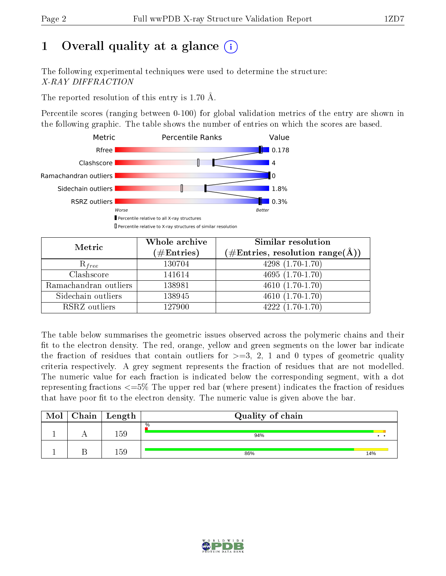## 1 [O](https://www.wwpdb.org/validation/2017/XrayValidationReportHelp#overall_quality)verall quality at a glance  $(i)$

The following experimental techniques were used to determine the structure: X-RAY DIFFRACTION

The reported resolution of this entry is 1.70 Å.

Percentile scores (ranging between 0-100) for global validation metrics of the entry are shown in the following graphic. The table shows the number of entries on which the scores are based.



| Metric                | Whole archive<br>$(\#\text{Entries})$ | <b>Similar resolution</b><br>$(\#\text{Entries}, \text{resolution range}(\text{\AA}))$ |  |  |
|-----------------------|---------------------------------------|----------------------------------------------------------------------------------------|--|--|
| $R_{free}$            | 130704                                | $4298(1.70-1.70)$                                                                      |  |  |
| Clashscore            | 141614                                | $4695(1.70-1.70)$                                                                      |  |  |
| Ramachandran outliers | 138981                                | $\overline{4610}$ $(1.70-1.70)$                                                        |  |  |
| Sidechain outliers    | 138945                                | $4610(1.70-1.70)$                                                                      |  |  |
| RSRZ outliers         | 127900                                | $4222(1.70-1.70)$                                                                      |  |  |

The table below summarises the geometric issues observed across the polymeric chains and their fit to the electron density. The red, orange, yellow and green segments on the lower bar indicate the fraction of residues that contain outliers for  $>=3, 2, 1$  and 0 types of geometric quality criteria respectively. A grey segment represents the fraction of residues that are not modelled. The numeric value for each fraction is indicated below the corresponding segment, with a dot representing fractions <=5% The upper red bar (where present) indicates the fraction of residues that have poor fit to the electron density. The numeric value is given above the bar.

| Mol | ${\rm Chain \mid Length}$ | Quality of chain |     |  |  |  |  |
|-----|---------------------------|------------------|-----|--|--|--|--|
|     | .59                       | $\%$<br>94%      | . . |  |  |  |  |
|     | 50                        | 86%              | 14% |  |  |  |  |

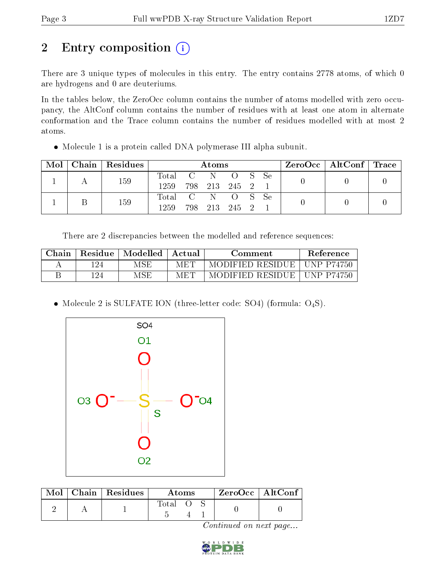## 2 Entry composition (i)

There are 3 unique types of molecules in this entry. The entry contains 2778 atoms, of which 0 are hydrogens and 0 are deuteriums.

In the tables below, the ZeroOcc column contains the number of atoms modelled with zero occupancy, the AltConf column contains the number of residues with at least one atom in alternate conformation and the Trace column contains the number of residues modelled with at most 2 atoms.

Molecule 1 is a protein called DNA polymerase III alpha subunit.

| Mol | Chain   Residues | Atoms                     |  |  |                                      |  | $ZeroOcc \mid AltConf \mid Trace$ |  |  |
|-----|------------------|---------------------------|--|--|--------------------------------------|--|-----------------------------------|--|--|
|     | 159              | Total C N O S Se<br>1259. |  |  | 798 213 245 2 1                      |  |                                   |  |  |
|     | 159              | Total C N<br>1259.        |  |  | <sup>'</sup> O S Se<br>798 213 245 2 |  |                                   |  |  |

There are 2 discrepancies between the modelled and reference sequences:

| ${\rm Chain}$ | Residue | Modelled | – Actual | Comment          | Reference         |
|---------------|---------|----------|----------|------------------|-------------------|
|               | 194     | MSE      | MET      | MODIFIED RESIDUE | <b>UNP P74750</b> |
|               | 124     | MSF      | MET      | MODIFIED RESIDUE | <b>UNP P74750</b> |

• Molecule 2 is SULFATE ION (three-letter code: SO4) (formula:  $O_4S$ ).



|  | $Mol$   Chain   Residues | Atoms |  |  | $ZeroOcc$   AltConf |  |
|--|--------------------------|-------|--|--|---------------------|--|
|  |                          | Total |  |  |                     |  |

Continued on next page...

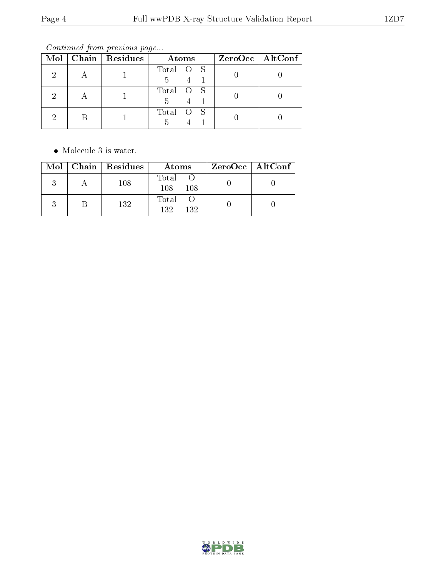Continued from previous page...

|  | $Mol$   Chain   Residues | Atoms          | $ZeroOcc \mid AltConf \mid$ |
|--|--------------------------|----------------|-----------------------------|
|  |                          | Total O S<br>5 |                             |
|  |                          | Total O S<br>5 |                             |
|  |                          | Total O S      |                             |

• Molecule 3 is water.

|  | $Mol$   Chain   Residues | Atoms                | $ZeroOcc \   \ AltConf \  $ |
|--|--------------------------|----------------------|-----------------------------|
|  | 108                      | Total<br>108<br>108  |                             |
|  | 132                      | Total<br>132.<br>132 |                             |

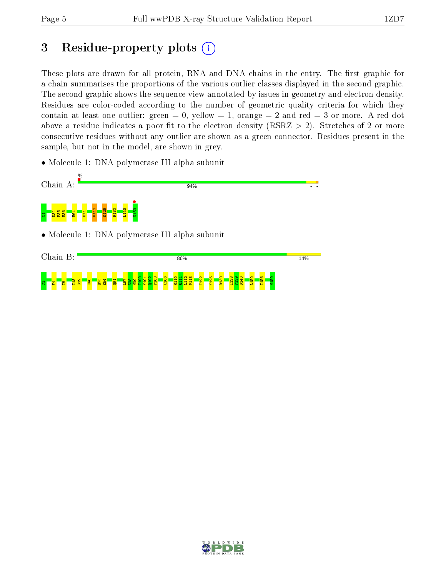## 3 Residue-property plots  $(i)$

These plots are drawn for all protein, RNA and DNA chains in the entry. The first graphic for a chain summarises the proportions of the various outlier classes displayed in the second graphic. The second graphic shows the sequence view annotated by issues in geometry and electron density. Residues are color-coded according to the number of geometric quality criteria for which they contain at least one outlier: green  $= 0$ , yellow  $= 1$ , orange  $= 2$  and red  $= 3$  or more. A red dot above a residue indicates a poor fit to the electron density (RSRZ  $> 2$ ). Stretches of 2 or more consecutive residues without any outlier are shown as a green connector. Residues present in the sample, but not in the model, are shown in grey.

• Molecule 1: DNA polymerase III alpha subunit



• Molecule 1: DNA polymerase III alpha subunit



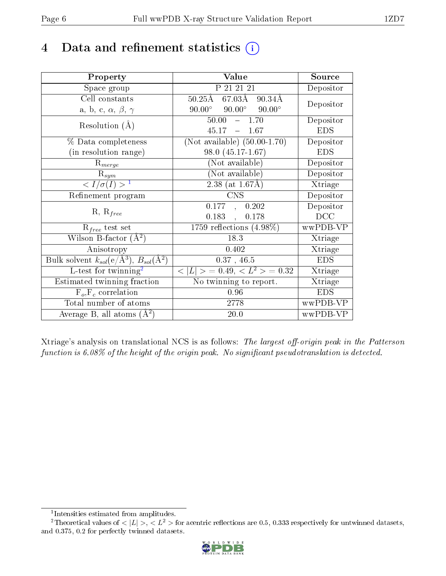## 4 Data and refinement statistics  $(i)$

| Property                                                         | Value                                                | Source     |
|------------------------------------------------------------------|------------------------------------------------------|------------|
| Space group                                                      | P 21 21 21                                           | Depositor  |
| Cell constants                                                   | $67.03\text{\AA}$<br>$50.25\text{\AA}$<br>$90.34\AA$ | Depositor  |
| a, b, c, $\alpha$ , $\beta$ , $\gamma$                           | $90.00^{\circ}$ $90.00^{\circ}$<br>$90.00^{\circ}$   |            |
| Resolution $(A)$                                                 | $50.00 - 1.70$                                       | Depositor  |
|                                                                  | 45.17<br>$-1.67$                                     | <b>EDS</b> |
| % Data completeness                                              | (Not available) $(50.00-1.70)$                       | Depositor  |
| (in resolution range)                                            | $98.0(45.17-1.67)$                                   | <b>EDS</b> |
| $R_{merge}$                                                      | (Not available)                                      | Depositor  |
| $\mathrm{R}_{sym}$                                               | (Not available)                                      | Depositor  |
| $\langle I/\sigma(I) \rangle^{-1}$                               | 2.38 (at $1.67\text{\AA}$ )                          | Xtriage    |
| Refinement program                                               | <b>CNS</b>                                           | Depositor  |
| $R, R_{free}$                                                    | 0.177,<br>0.202                                      | Depositor  |
|                                                                  | 0.178<br>0.183,                                      | DCC        |
| $R_{free}$ test set                                              | $1759$ reflections $(4.98\%)$                        | wwPDB-VP   |
| Wilson B-factor $(A^2)$                                          | 18.3                                                 | Xtriage    |
| Anisotropy                                                       | 0.402                                                | Xtriage    |
| Bulk solvent $k_{sol}(\text{e}/\text{A}^3), B_{sol}(\text{A}^2)$ | $0.37$ , 46.5                                        | <b>EDS</b> |
| $L$ -test for twinning <sup>2</sup>                              | $< L >$ = 0.49, $< L^2 >$ = 0.32                     | Xtriage    |
| Estimated twinning fraction                                      | No twinning to report.                               | Xtriage    |
| $F_o, F_c$ correlation                                           | 0.96                                                 | <b>EDS</b> |
| Total number of atoms                                            | 2778                                                 | wwPDB-VP   |
| Average B, all atoms $(A^2)$                                     | 20.0                                                 | wwPDB-VP   |

Xtriage's analysis on translational NCS is as follows: The largest off-origin peak in the Patterson function is  $6.08\%$  of the height of the origin peak. No significant pseudotranslation is detected.

<sup>&</sup>lt;sup>2</sup>Theoretical values of  $\langle |L| \rangle$ ,  $\langle L^2 \rangle$  for acentric reflections are 0.5, 0.333 respectively for untwinned datasets, and 0.375, 0.2 for perfectly twinned datasets.



<span id="page-5-1"></span><span id="page-5-0"></span><sup>1</sup> Intensities estimated from amplitudes.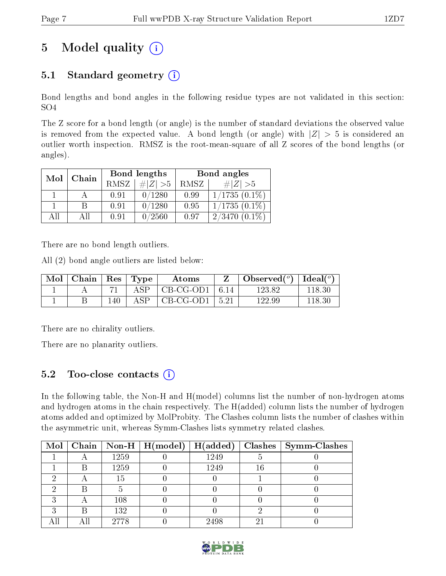## 5 Model quality  $(i)$

### 5.1 Standard geometry  $(i)$

Bond lengths and bond angles in the following residue types are not validated in this section: SO4

The Z score for a bond length (or angle) is the number of standard deviations the observed value is removed from the expected value. A bond length (or angle) with  $|Z| > 5$  is considered an outlier worth inspection. RMSZ is the root-mean-square of all Z scores of the bond lengths (or angles).

| Mol | Chain |             | Bond lengths | Bond angles |                 |  |
|-----|-------|-------------|--------------|-------------|-----------------|--|
|     |       | <b>RMSZ</b> | $\ Z\  > 5$  | RMSZ        | # $ Z  > 5$     |  |
|     |       | 0.91        | 0/1280       | 0.99        | $1/1735(0.1\%)$ |  |
|     | В     | 0.91        | 0/1280       | 0.95        | $1/1735(0.1\%)$ |  |
| AĦ  | АH    | 0.91        | 0/2560       | 0.97        | $2/3470(0.1\%)$ |  |

There are no bond length outliers.

All (2) bond angle outliers are listed below:

| $\bf{Mol}$ | Chain   Res   Type |     |             | Atoms                          | Observed( $^{\circ}$ )   Ideal( $^{\circ}$ ) |        |
|------------|--------------------|-----|-------------|--------------------------------|----------------------------------------------|--------|
|            |                    |     | ASP         | $\vert$ CB-CG-OD1 $\vert$ 6.14 | 123.82                                       | 118.30 |
|            |                    | 140 | ${\rm ASP}$ | $\mid$ CB-CG-OD1 $\mid$ 5.21   | 122.99                                       | 118.30 |

There are no chirality outliers.

There are no planarity outliers.

#### 5.2 Too-close contacts  $\overline{a}$

In the following table, the Non-H and H(model) columns list the number of non-hydrogen atoms and hydrogen atoms in the chain respectively. The H(added) column lists the number of hydrogen atoms added and optimized by MolProbity. The Clashes column lists the number of clashes within the asymmetric unit, whereas Symm-Clashes lists symmetry related clashes.

|  |      | Mol   Chain   Non-H   H(model)   H(added) |      |    | $Clashes$   Symm-Clashes |
|--|------|-------------------------------------------|------|----|--------------------------|
|  | 1259 |                                           | 1249 |    |                          |
|  | 1259 |                                           | 1249 | 16 |                          |
|  | 15   |                                           |      |    |                          |
|  |      |                                           |      |    |                          |
|  | 108  |                                           |      |    |                          |
|  | 132  |                                           |      |    |                          |
|  | 2778 |                                           | 2498 |    |                          |

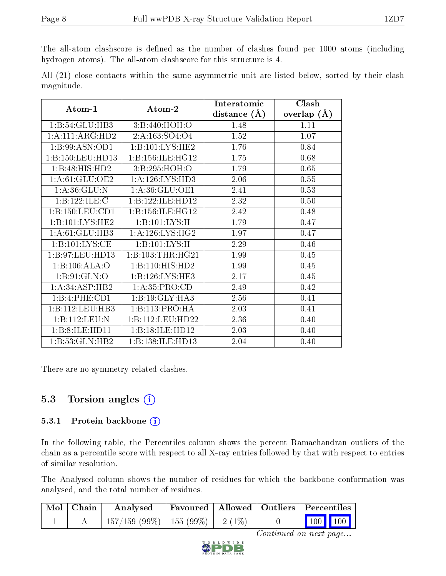The all-atom clashscore is defined as the number of clashes found per 1000 atoms (including hydrogen atoms). The all-atom clashscore for this structure is 4.

|            |  |  | All (21) close contacts within the same asymmetric unit are listed below, sorted by their clash |  |  |  |  |
|------------|--|--|-------------------------------------------------------------------------------------------------|--|--|--|--|
| magnitude. |  |  |                                                                                                 |  |  |  |  |

| Atom-1           | Atom-2               | Interatomic    | Clash         |
|------------------|----------------------|----------------|---------------|
|                  |                      | distance $(A)$ | overlap $(A)$ |
| 1:B:54:GLU:HB3   | 3:B:440:HOH:O        | 1.48           | 1.11          |
| 1:A:111:ARG:HD2  | 2:A:163:SO4:O4       | 1.52           | 1.07          |
| 1:B:99:ASN:OD1   | 1: B: 101: LYS: HE2  | 1.76           | 0.84          |
| 1:B:150:LEU:HD13 | 1:B:156:ILE:HG12     | 1.75           | 0.68          |
| 1:B:48:HIS:HD2   | 3:B:295:HOH:O        | 1.79           | 0.65          |
| 1: A:61: GLU:OE2 | 1: A:126: LYS: HD3   | 2.06           | 0.55          |
| 1: A:36: GLU:N   | 1: A:36: GLU:OE1     | 2.41           | 0.53          |
| 1:B:122:ILE:C    | 1:B:122:ILE:HD12     | 2.32           | 0.50          |
| 1:B:150:LEU:CD1  | 1: B: 156: ILE: HG12 | 2.42           | 0.48          |
| 1:B:101:LYS:HE2  | 1:B:101:LYS:H        | 1.79           | 0.47          |
| 1: A:61: GLU:HB3 | 1: A:126: LYS: HG2   | 1.97           | 0.47          |
| 1:B:101:LYS:CE   | 1:B:101:LYS:H        | 2.29           | 0.46          |
| 1:B:97:LEU:HD13  | 1:B:103:THR:HG21     | 1.99           | 0.45          |
| 1:B:106:ALA:O    | 1:B:110:HIS:HD2      | 1.99           | 0.45          |
| 1: B:91: GLN:O   | 1: B: 126: LYS: HE3  | 2.17           | 0.45          |
| 1:A:34:ASP:HB2   | 1: A: 35: PRO:CD     | 2.49           | 0.42          |
| 1:B:4:PHE:CD1    | 1:B:19:GLY:HA3       | 2.56           | 0.41          |
| 1:B:112:LEU:HB3  | 1:B:113:PRO:HA       | 2.03           | 0.41          |
| 1:B:112:LEU:N    | 1:B:112:LEU:HD22     | 2.36           | 0.40          |
| 1:B:8:ILE:HD11   | 1:B:18:ILE:HD12      | 2.03           | 0.40          |
| 1:B:53:GLN:HB2   | 1:B:138:ILE:HD13     | 2.04           | 0.40          |

There are no symmetry-related clashes.

### 5.3 Torsion angles  $(i)$

#### 5.3.1 Protein backbone (i)

In the following table, the Percentiles column shows the percent Ramachandran outliers of the chain as a percentile score with respect to all X-ray entries followed by that with respect to entries of similar resolution.

The Analysed column shows the number of residues for which the backbone conformation was analysed, and the total number of residues.

| Mol   Chain | Analysed                                | Favoured   Allowed   Outliers   Percentiles |  |                  |  |
|-------------|-----------------------------------------|---------------------------------------------|--|------------------|--|
|             | $157/159$ (99\%)   155 (99\%)   2 (1\%) |                                             |  | $\sqrt{100}$ 100 |  |

Continued on next page...

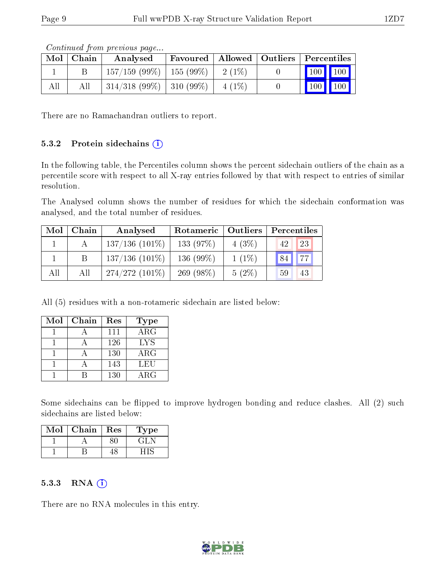|     | Mol   Chain | contentable provisions pagoni<br>Analysed |           | Favoured   Allowed   Outliers   Percentiles                             |
|-----|-------------|-------------------------------------------|-----------|-------------------------------------------------------------------------|
|     |             | $157/159$ (99\%)   155 (99\%)   2 (1\%)   |           | $\begin{array}{ c c c c c }\n\hline\n100 & 100 & \\\hline\n\end{array}$ |
| All | All         | $314/318$ (99\%)   310 (99\%)             | $-4(1\%)$ | $\mid$ 100 $\mid$ 100 $\mid$                                            |

Continued from previous page...

There are no Ramachandran outliers to report.

#### 5.3.2 Protein sidechains  $(i)$

In the following table, the Percentiles column shows the percent sidechain outliers of the chain as a percentile score with respect to all X-ray entries followed by that with respect to entries of similar resolution.

The Analysed column shows the number of residues for which the sidechain conformation was analysed, and the total number of residues.

| Mol | Chain | Analysed          | Rotameric   Outliers |          | Percentiles           |  |  |
|-----|-------|-------------------|----------------------|----------|-----------------------|--|--|
|     |       | $137/136$ (101\%) | 133 (97%)            | 4(3%)    | 23<br>42              |  |  |
|     | B     | $137/136$ (101\%) | 136 (99%)            | $1(1\%)$ | 77<br>84 <sub>k</sub> |  |  |
| All | All   | $274/272(101\%)$  | 269 $(98\%)$         | $5(2\%)$ | 59<br>43              |  |  |

All (5) residues with a non-rotameric sidechain are listed below:

| Mol | Chain | Res | Type       |
|-----|-------|-----|------------|
|     |       | 111 | $\rm{ARG}$ |
|     |       | 126 | <b>LYS</b> |
|     |       | 130 | $\rm{ARG}$ |
|     |       | 143 | LEU        |
|     |       | 130 | $\rm{ARG}$ |

Some sidechains can be flipped to improve hydrogen bonding and reduce clashes. All (2) such sidechains are listed below:

| Mol | Chain | Res | 1'ype |
|-----|-------|-----|-------|
|     |       |     |       |
|     |       |     |       |

#### $5.3.3$  RNA  $(i)$

There are no RNA molecules in this entry.

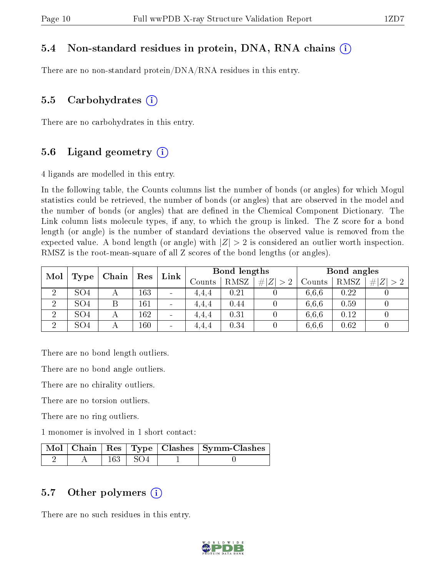#### 5.4 Non-standard residues in protein, DNA, RNA chains (i)

There are no non-standard protein/DNA/RNA residues in this entry.

#### 5.5 Carbohydrates  $(i)$

There are no carbohydrates in this entry.

#### 5.6 Ligand geometry  $(i)$

4 ligands are modelled in this entry.

In the following table, the Counts columns list the number of bonds (or angles) for which Mogul statistics could be retrieved, the number of bonds (or angles) that are observed in the model and the number of bonds (or angles) that are dened in the Chemical Component Dictionary. The Link column lists molecule types, if any, to which the group is linked. The Z score for a bond length (or angle) is the number of standard deviations the observed value is removed from the expected value. A bond length (or angle) with  $|Z| > 2$  is considered an outlier worth inspection. RMSZ is the root-mean-square of all Z scores of the bond lengths (or angles).

| Mol | Res<br>Chain    |   | Link |                          | Bond lengths      |      |             | Bond angles |      |   |
|-----|-----------------|---|------|--------------------------|-------------------|------|-------------|-------------|------|---|
|     | Type            |   |      |                          | $\mathrm{Counts}$ | RMSZ | # $ Z  > 2$ | Counts      | RMSZ | Z |
| ച   | SO <sub>4</sub> |   | 163  | $\overline{\phantom{a}}$ | 4.4.4             | 0.21 |             | 6.6.6       | 0.22 |   |
| ച   | SO <sub>4</sub> | Β | 161  | $\overline{\phantom{a}}$ | 4.4.4             | 0.44 |             | 6.6.6       | 0.59 |   |
| ച   | SO <sub>4</sub> |   | 162  | $\overline{\phantom{a}}$ | 4.4.4             | 0.31 |             | 6.6.6       | 0.12 |   |
| ച   | SO <sub>4</sub> |   | 160  | $\overline{\phantom{a}}$ | 4.4.4             | 0.34 |             | 6.6.6       | 0.62 |   |

There are no bond length outliers.

There are no bond angle outliers.

There are no chirality outliers.

There are no torsion outliers.

There are no ring outliers.

1 monomer is involved in 1 short contact:

|  |             | Mol   Chain   Res   Type   Clashes   Symm-Clashes |
|--|-------------|---------------------------------------------------|
|  | $163 + SO4$ |                                                   |

#### 5.7 [O](https://www.wwpdb.org/validation/2017/XrayValidationReportHelp#nonstandard_residues_and_ligands)ther polymers  $(i)$

There are no such residues in this entry.

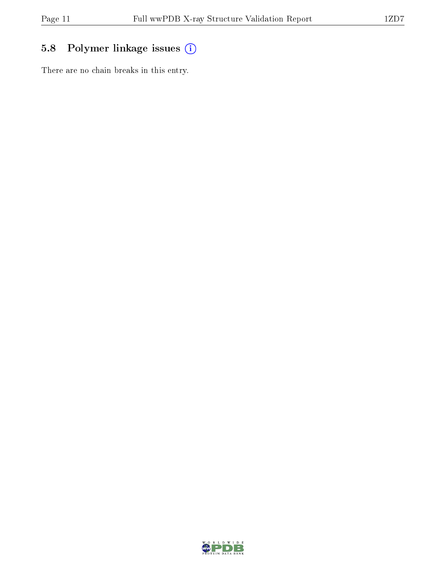### 5.8 Polymer linkage issues (i)

There are no chain breaks in this entry.

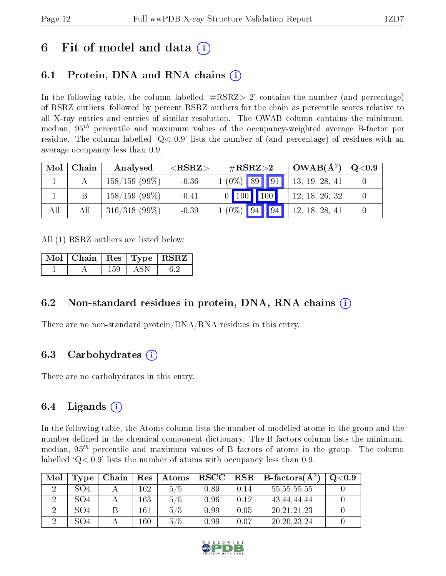### 6 Fit of model and data  $\left( \cdot \right)$

### 6.1 Protein, DNA and RNA chains (i)

In the following table, the column labelled  $#RSRZ>2'$  contains the number (and percentage) of RSRZ outliers, followed by percent RSRZ outliers for the chain as percentile scores relative to all X-ray entries and entries of similar resolution. The OWAB column contains the minimum, median,  $95<sup>th</sup>$  percentile and maximum values of the occupancy-weighted average B-factor per residue. The column labelled  $Q < 0.9$  lists the number of (and percentage) of residues with an average occupancy less than 0.9.

| Mol | Chain | Analysed        | ${ <\hspace{-1.5pt}{\mathrm{RSRZ}} \hspace{-1.5pt}>}$ | $\#\text{RSRZ}\text{>2}$ | $OWAB(A^2)$    | $\rm Q\textcolor{black}{<}0.9$ |
|-----|-------|-----------------|-------------------------------------------------------|--------------------------|----------------|--------------------------------|
|     |       | $158/159(99\%)$ | $-0.36$                                               | $1(0\%)$ 89 91           | 13, 19, 28, 41 |                                |
|     |       | $158/159(99\%)$ | $-0.41$                                               | $0$ 100 100              | 12, 18, 26, 32 |                                |
| All | All   | $316/318$ (99%) | $-0.39$                                               | $1(0\%)$ 94 94           | 12, 18, 28, 41 |                                |

All (1) RSRZ outliers are listed below:

| $\mid$ Mol $\mid$ Chain $\mid$ Res $\mid$ Type $\mid$ RSRZ $\mid$ |     |      |  |
|-------------------------------------------------------------------|-----|------|--|
|                                                                   | 159 | A SN |  |

#### 6.2 Non-standard residues in protein, DNA, RNA chains (i)

There are no non-standard protein/DNA/RNA residues in this entry.

#### 6.3 Carbohydrates (i)

There are no carbohydrates in this entry.

#### 6.4 Ligands  $(i)$

In the following table, the Atoms column lists the number of modelled atoms in the group and the number defined in the chemical component dictionary. The B-factors column lists the minimum, median,  $95<sup>th</sup>$  percentile and maximum values of B factors of atoms in the group. The column labelled  $Q< 0.9$ ' lists the number of atoms with occupancy less than 0.9.

| Mol | Type            | Chain | Res | Atoms | $_{\rm RSCC}$ |      | $\text{RSR} \parallel \text{B-factors}(\AA^2)$ | Q <sub>0.9</sub> |
|-----|-----------------|-------|-----|-------|---------------|------|------------------------------------------------|------------------|
|     | SO <sub>4</sub> |       | 162 | 5/5   | 0.89          | 0.14 | 55, 55, 55, 55                                 |                  |
|     | SO <sub>4</sub> |       | 163 | 5/5   | 0.96          | 0.12 | 43.44.44.44                                    |                  |
|     | SO <sub>4</sub> |       | 161 | 5/5   | 0.99          | 0.05 | 20, 21, 21, 23                                 |                  |
|     | SO <sub>4</sub> |       | 160 | 5/5   | 0.99          | 0.07 | 20, 20, 23, 24                                 |                  |